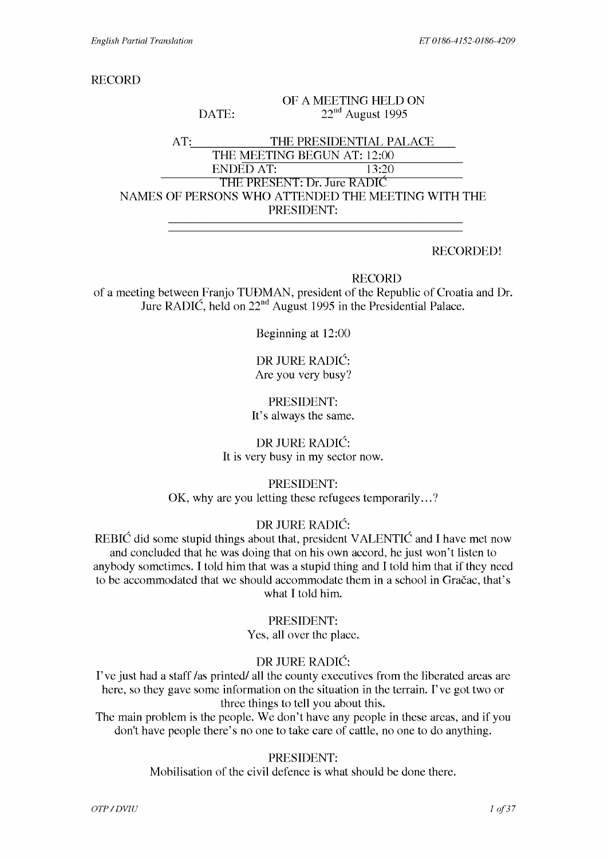DATE:

RECORD

#### OF A MEETING HELD ON 22nd August 1995

#### AT: THE PRESIDENTIAL PALACE THE MEETING BEGUN AT: 12:00 ENDED AT: 13:20 **THE** PRESENT: Dr. Jure RADIC NAMES OF PERSONS WHO ATTENDED THE MEETING WITH THE PRESIDENT:

#### RECORDED!

RECORD

of a meeting between Franjo TUDMAN, president of the Republic of Croatia and Dr. Jure RADIC, held on 22nd August 1995 in the Presidential Palace.

Beginning at 12:00

DR JURE RADIC: Are you very busy?

#### PRESIDENT: It's always the same.

DR JURE RADIC: It is very busy in my sector now.

PRESIDENT:

OK, why are you letting these refugees temporarily...?

#### DR JURE RADIC:

REBIC did some stupid things about that, president VALENTIC and I have met now and concluded that he was doing that on his own accord, he just won't listen to anybody sometimes. I told him that was a stupid thing and I told him that if they need to be accommodated that we should accommodate them in a school in Gračac, that's what I told him.

#### PRESIDENT:

Yes, all over the place.

## DR JURE RADIC:

I've just had a staff /as printed/ all the county executives from the liberated areas are here, so they gave some information on the situation in the terrain. I've got two or three things to tell you about this.

The main problem is the people. We don't have any people in these areas, and if you don't have people there's no one to take care of cattle, no one to do anything.

#### PRESIDENT:

Mobilisation of the civil defence is what should be done there.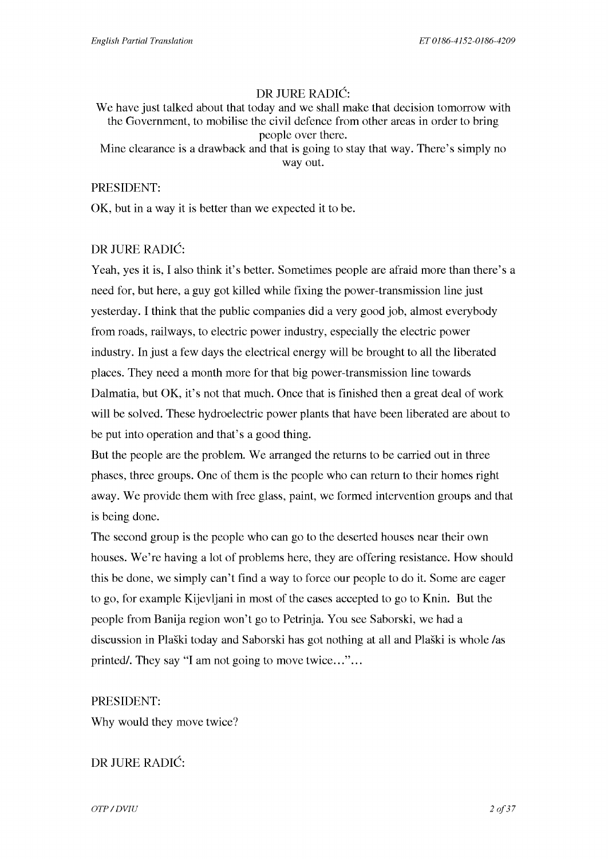## DR JURE RADIC:

We have just talked about that today and we shall make that decision tomorrow with the Government, to mobilise the civil defence from other areas in order to bring people over there.

Mine clearance is a drawback and that is going to stay that way. There's simply no way out.

#### PRESIDENT:

OK, but in a way it is better than we expected it to be.

## DR JURE RADIC:

Yeah, yes it is, I also think it's better. Sometimes people are afraid more than there's a need for, but here, a guy got killed while fixing the power-transmission line just yesterday. I think that the public companies did a very good job, almost everybody from roads, railways, to electric power industry, especially the electric power industry. In just a few days the electrical energy will be brought to all the liberated places. They need a month more for that big power-transmission line towards Dalmatia, but OK, it's not that much. Once that is finished then a great deal of work will be solved. These hydroelectric power plants that have been liberated are about to be put into operation and that's a good thing.

But the people are the problem. We arranged the returns to be carried out in three phases, three groups. One of them is the people who can return to their homes right away. We provide them with free glass, paint, we formed intervention groups and that is being done.

The second group is the people who can go to the deserted houses near their own houses. We're having a lot of problems here, they are offering resistance. How should this be done, we simply can't find a way to force our people to do it. Some are eager to go, for example Kijevljani in most of the cases accepted to go to Knin. But the people from Banija region won't go to Petrinja. You see Saborski, we had a discussion in Plaski today and Saborski has got nothing at all and Plaski is whole /as printed. They say "I am not going to move twice..."...

## PRESIDENT:

Why would they move twice?

# DR JURE RADIC:

*OTP* / DVIU 2 of 37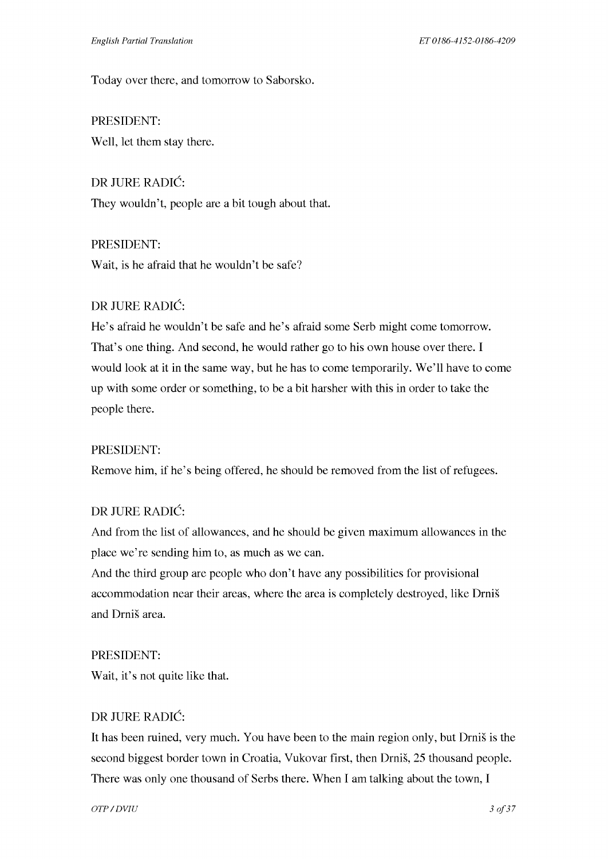Today over there, and tomorrow to Saborsko.

PRESIDENT: Well, let them stay there.

DR JURE RADIC: They wouldn't, people are a bit tough about that.

PRESIDENT: Wait, is he afraid that he wouldn't be safe?

# DR JURE RADIC:

He's afraid he wouldn't be safe and he's afraid some Serb might come tomorrow. That's one thing. And second, he would rather go to his own house over there. I would look at it in the same way, but he has to come temporarily. We'll have to come up with some order or something, to be a bit harsher with this in order to take the people there.

## PRESIDENT:

Remove him, if he's being offered, he should be removed from the list of refugees.

## DR JURE RADIC:

And from the list of allowances, and he should be given maximum allowances in the place we're sending him to, as much as we can.

And the third group are people who don't have any possibilities for provisional accommodation near their areas, where the area is completely destroyed, like Drnis and Drnis area.

#### PRESIDENT:

Wait, it's not quite like that.

## DR JURE RADIC:

It has been ruined, very much. You have been to the main region only, but Drnis is the second biggest border town in Croatia, Vukovar first, then Drnis, 25 thousand people. There was only one thousand of Serbs there. When I am talking about the town, I

*OTP* / DVIU 3 of 37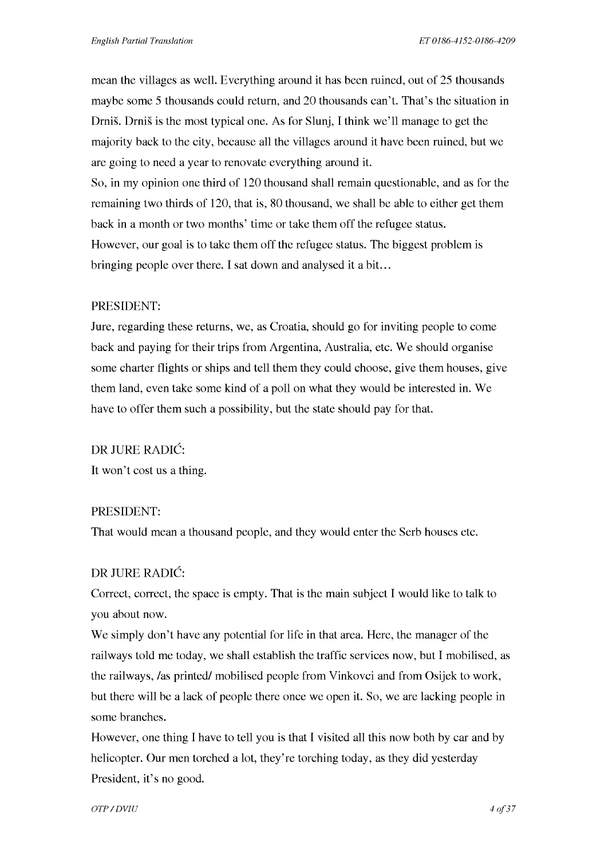mean the villages as well. Everything around it has been ruined, out of 25 thousands maybe some 5 thousands could return, and 20 thousands can't. That's the situation in Drnis. Drnis is the most typical one. As for Slunj, I think we'll manage to get the majority back to the city, because all the villages around it have been ruined, but we are going to need a year to renovate everything around it. So, in my opinion one third of 120 thousand shall remain questionable, and as for the remaining two thirds of 120, that is, 80 thousand, we shall be able to either get them back in a month or two months' time or take them off the refugee status. However, our goal is to take them off the refugee status. The biggest problem is bringing people over there. I sat down and analysed it a bit. ..

#### PRESIDENT:

Jure, regarding these returns, we, as Croatia, should go for inviting people to come back and paying for their trips from Argentina, Australia, etc. We should organise some charter flights or ships and tell them they could choose, give them houses, give them land, even take some kind of a poll on what they would be interested in. We have to offer them such a possibility, but the state should pay for that.

DR JURE RADIC:

It won't cost us a thing.

#### PRESIDENT:

That would mean a thousand people, and they would enter the Serb houses etc.

#### DR JURE RADIC:

Correct, correct, the space is empty. That is the main subject I would like to talk to you about now.

We simply don't have any potential for life in that area. Here, the manager of the railways told me today, we shall establish the traffic services now, but I mobilised, as the railways, /as printed/ mobilised people from Vinkovci and from Osijek to work, but there will be a lack of people there once we open it. So, we are lacking people in some branches.

However, one thing I have to tell you is that I visited all this now both by car and by helicopter. Our men torched a lot, they're torching today, as they did yesterday President, it's no good.

*OTP* / DVIU 4 of 37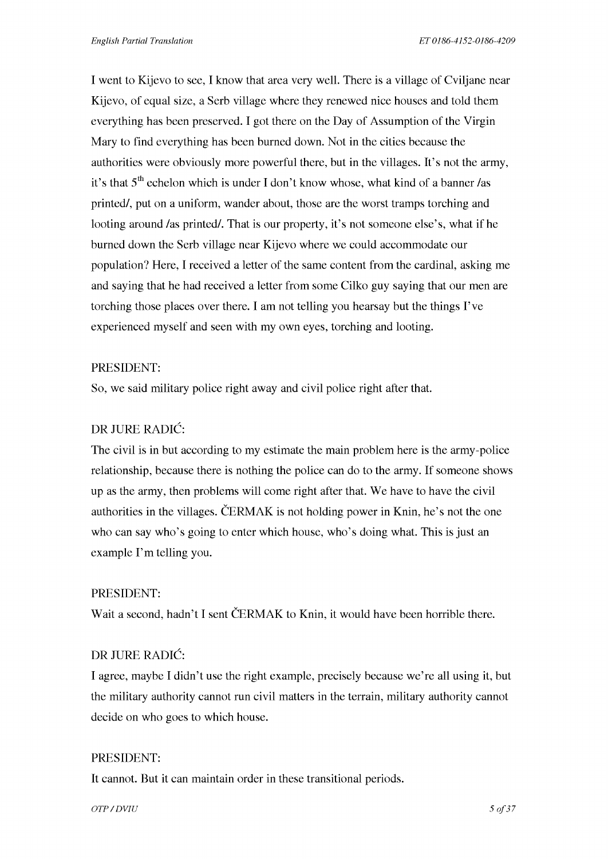I went to Kijevo to see, I know that area very well. There is a village of Cviljane near Kijevo, of equal size, a Serb village where they renewed nice houses and told them everything has been preserved. I got there on the Day of Assumption of the Virgin Mary to find everything has been burned down. Not in the cities because the authorities were obviously more powerful there, but in the villages. It's not the army, it's that  $5<sup>th</sup>$  echelon which is under I don't know whose, what kind of a banner /as printed/, put on a uniform, wander about, those are the worst tramps torching and looting around /as printed/. That is our property, it's not someone else's, what if he burned down the Serb village near Kijevo where we could accommodate our population? Here, I received a letter of the same content from the cardinal, asking me and saying that he had received a letter from some Cilko guy saying that our men are torching those places over there. I am not telling you hearsay but the things I've experienced myself and seen with my own eyes, torching and looting.

#### PRESIDENT:

So, we said military police right away and civil police right after that.

#### DR JURE RADIC:

The civil is in but according to my estimate the main problem here is the army-police relationship, because there is nothing the police can do to the army. If someone shows up as the army, then problems will come right after that. We have to have the civil authorities in the villages. ČERMAK is not holding power in Knin, he's not the one who can say who's going to enter which house, who's doing what. This is just an example I'm telling you.

#### PRESIDENT:

Wait a second, hadn't I sent CERMAK to Knin, it would have been horrible there.

#### DR JURE RADIC:

I agree, maybe I didn't use the right example, precisely because we're all using it, but the military authority cannot run civil matters in the terrain, military authority cannot decide on who goes to which house.

#### PRESIDENT:

It cannot. But it can maintain order in these transitional periods.

 $OTP / DVIU$  5 *of 37*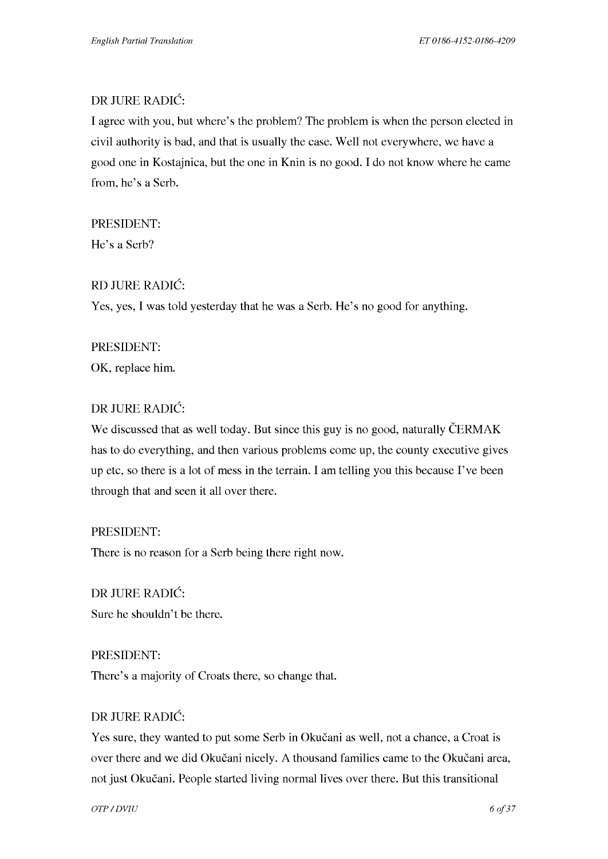#### DR JURE RADIC:

I agree with you, but where's the problem? The problem is when the person elected in civil authority is bad, and that is usually the case. Well not everywhere, we have a good one in Kostajnica, but the one in Knin is no good. I do not know where he came from, he's a Serb.

#### PRESIDENT:

He's a Serb?

#### RD JURE RADIC:

Yes, yes, I was told yesterday that he was a Serb. He's no good for anything.

#### PRESIDENT:

OK, replace him.

#### DR JURE RADIC:

We discussed that as well today. But since this guy is no good, naturally CERMAK has to do everything, and then various problems come up, the county executive gives up etc, so there is a lot of mess in the terrain. I am telling you this because I've been through that and seen it all over there.

#### PRESIDENT:

There is no reason for a Serb being there right now.

DR JURE RADIC: Sure he shouldn't be there.

#### PRESIDENT:

There's a majority of Croats there, so change that.

#### DR JURE RADIC:

Yes sure, they wanted to put some Serb in Okucani as well, not a chance, a Croat is over there and we did Okučani nicely. A thousand families came to the Okučani area, not just Okucani. People started living normal lives over there. But this transitional

*OTP* / DVIU 6 of 37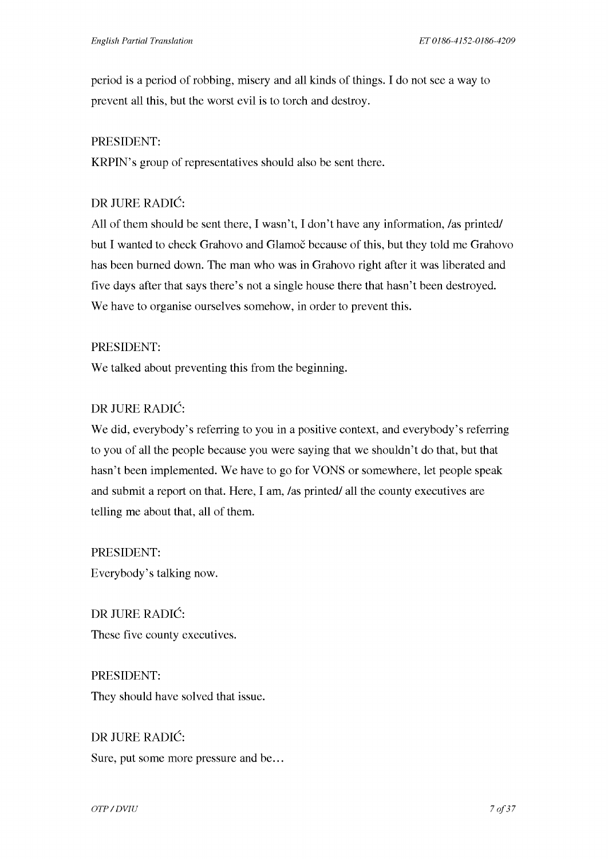period is a period of robbing, misery and all kinds of things. I do not see a way to prevent all this, but the worst evil is to torch and destroy.

#### PRESIDENT:

KRPIN's group of representatives should also be sent there.

## DR JURE RADIC:

All of them should be sent there, I wasn't, I don't have any information, /as printed/ but I wanted to check Grahovo and Glamoc because of this, but they told me Grahovo has been burned down. The man who was in Grahovo right after it was liberated and five days after that says there's not a single house there that hasn't been destroyed. We have to organise ourselves somehow, in order to prevent this.

#### PRESIDENT:

We talked about preventing this from the beginning.

## DR JURE RADIC:

We did, everybody's referring to you in a positive context, and everybody's referring to you of all the people because you were saying that we shouldn't do that, but that hasn't been implemented. We have to go for VONS or somewhere, let people speak and submit a report on that. Here, I am, /as printed/ all the county executives are telling me about that, all of them.

PRESIDENT: Everybody's talking now.

DR JURE RADIC: These five county executives.

PRESIDENT: They should have solved that issue.

DR JURE RADIC: Sure, put some more pressure and be...

*OTP* / DVIU 7 of 37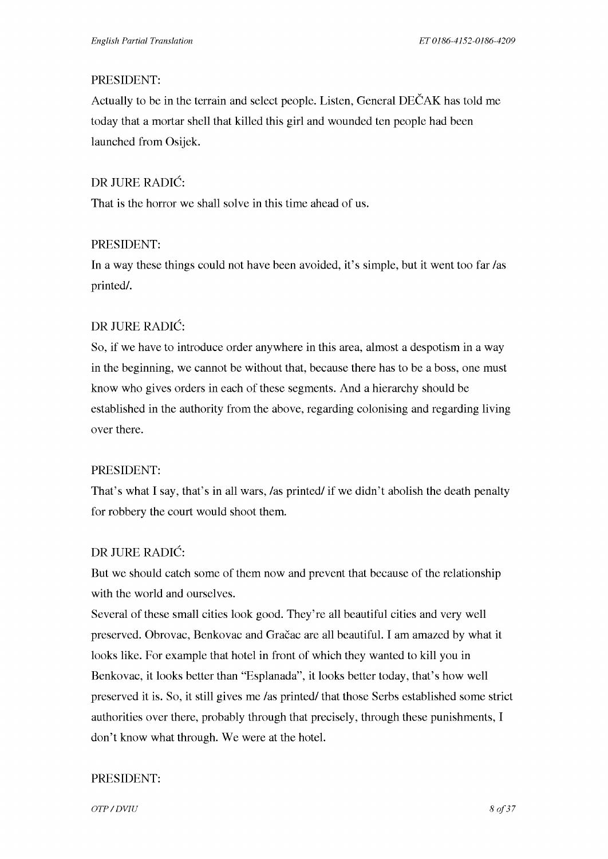## PRESIDENT:

Actually to be in the terrain and select people. Listen, General DECAK has told me today that a mortar shell that killed this girl and wounded ten people had been launched from Osijek.

# DR JURE RADIC:

That is the horror we shall solve in this time ahead of us.

# PRESIDENT:

In a way these things could not have been avoided, it's simple, but it went too far /as printed/.

# DR JURE RADIC:

So, if we have to introduce order anywhere in this area, almost a despotism in a way in the beginning, we cannot be without that, because there has to be a boss, one must know who gives orders in each of these segments. And a hierarchy should be established in the authority from the above, regarding colonising and regarding living over there.

# PRESIDENT:

That's what I say, that's in all wars, /as printed/ if we didn't abolish the death penalty for robbery the court would shoot them.

# DR JURE RADIC:

But we should catch some of them now and prevent that because of the relationship with the world and ourselves.

Several of these small cities look good. They're all beautiful cities and very well preserved. Obrovac, Benkovac and Gracac are all beautiful. I am amazed by what it looks like. For example that hotel in front of which they wanted to kill you in Benkovac, it looks better than "Esplanada", it looks better today, that's how well preserved it is. So, it still gives me /as printed/ that those Serbs established some strict authorities over there, probably through that precisely, through these punishments, I don't know what through. We were at the hotel.

# PRESIDENT:

*OTP* / DVIU 8 of 37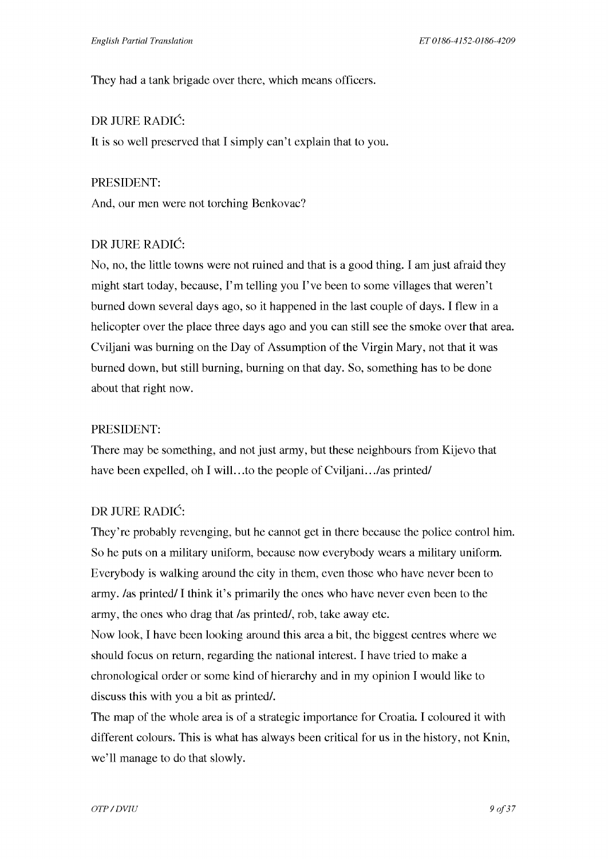They had a tank brigade over there, which means officers.

# DR JURE RADIC:

It is so well preserved that I simply can't explain that to you.

#### PRESIDENT:

And, our men were not torching Benkovac?

# DR JURE RADIC:

No, no, the little towns were not ruined and that is a good thing. I am just afraid they might start today, because, I'm telling you I've been to some villages that weren't burned down several days ago, so it happened in the last couple of days. I flew in a helicopter over the place three days ago and you can still see the smoke over that area. Cviljani was burning on the Day of Assumption of the Virgin Mary, not that it was burned down, but still burning, burning on that day. So, something has to be done about that right now.

## PRESIDENT:

There may be something, and not just army, but these neighbours from Kijevo that have been expelled, oh I will...to the people of Cviljani.../as printed/

# DR JURE RADIC:

They're probably revenging, but he cannot get in there because the police control him. So he puts on a military uniform, because now everybody wears a military uniform. Everybody is walking around the city in them, even those who have never been to army. /as printed/ I think it's primarily the ones who have never even been to the army, the ones who drag that /as printed/, rob, take away etc.

Now look, I have been looking around this area a bit, the biggest centres where we should focus on return, regarding the national interest. I have tried to make a chronological order or some kind of hierarchy and in my opinion I would like to discuss this with you a bit as printed/.

The map of the whole area is of a strategic importance for Croatia. I coloured it with different colours. This is what has always been critical for us in the history, not Knin, we'll manage to do that slowly.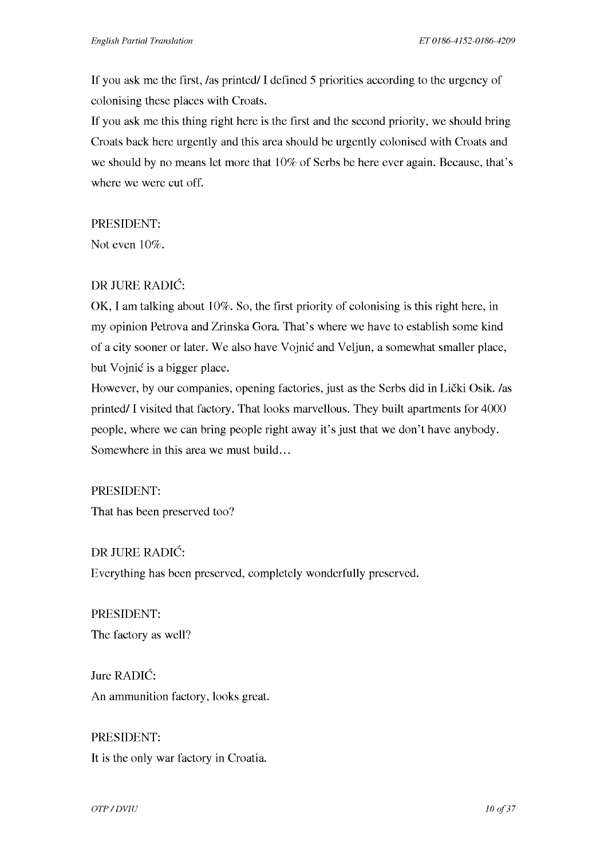If you ask me the first, /as printed/ I defined 5 priorities according to the urgency of colonising these places with Croats.

If you ask me this thing right here is the first and the second priority, we should bring Croats back here urgently and this area should be urgently colonised with Croats and we should by no means let more that 10% of Serbs be here ever again. Because, that's where we were cut off.

#### PRESIDENT:

Not even 10%.

## DR JURE RADIC:

OK, I am talking about 10%. So, the first priority of colonising is this right here, in my opinion Petrova and Zrinska Gora. That's where we have to establish some kind of a city sooner or later. We also have Vojnic and Veljun, a somewhat smaller place, but Vojnic is a bigger place.

However, by our companies, opening factories, just as the Serbs did in Licki Osik. /as printed/ I visited that factory. That looks marvellous. They built apartments for 4000 people, where we can bring people right away it's just that we don't have anybody. Somewhere in this area we must build...

#### PRESIDENT:

That has been preserved too?

DR JURE RADIC: Everything has been preserved, completely wonderfully preserved.

PRESIDENT: The factory as well?

Jure RADIC: An ammunition factory, looks great.

PRESIDENT: It is the only war factory in Croatia.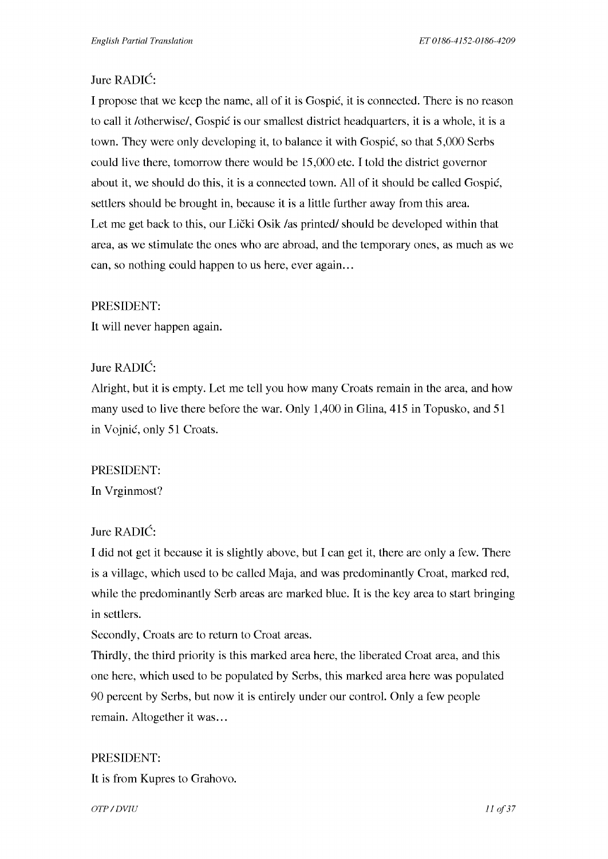# Jure RADIC:

I propose that we keep the name, all of it is Gospic, it is connected. There is no reason to call it /otherwise/, Gospic is our smallest district headquarters, it is a whole, it is a town. They were only developing it, to balance it with Gospic, so that 5,000 Serbs could live there, tomorrow there would be 15,000 etc. I told the district governor about it, we should do this, it is a connected town. All of it should be called Gospic, settlers should be brought in, because it is a little further away from this area. Let me get back to this, our Lički Osik /as printed/ should be developed within that area, as we stimulate the ones who are abroad, and the temporary ones, as much as we can, so nothing could happen to us here, ever again...

#### PRESIDENT:

It will never happen again.

## Jure RADIC:

Alright, but it is empty. Let me tell you how many Croats remain in the area, and how many used to live there before the war. Only 1,400 in Glina, 415 in Topusko, and 51 in Vojnic, only 51 Croats.

## PRESIDENT:

In Vrginmost?

## Jure RADIC:

I did not get it because it is slightly above, but I can get it, there are only a few. There is a village, which used to be called Maja, and was predominantly Croat, marked red, while the predominantly Serb areas are marked blue. It is the key area to start bringing in settlers.

Secondly, Croats are to return to Croat areas.

Thirdly, the third priority is this marked area here, the liberated Croat area, and this one here, which used to be populated by Serbs, this marked area here was populated 90 percent by Serbs, but now it is entirely under our control. Only a few people remain. Altogether it was...

## PRESIDENT:

It is from Kupres to Grahovo.

*OTP* / DVIU 11 of 37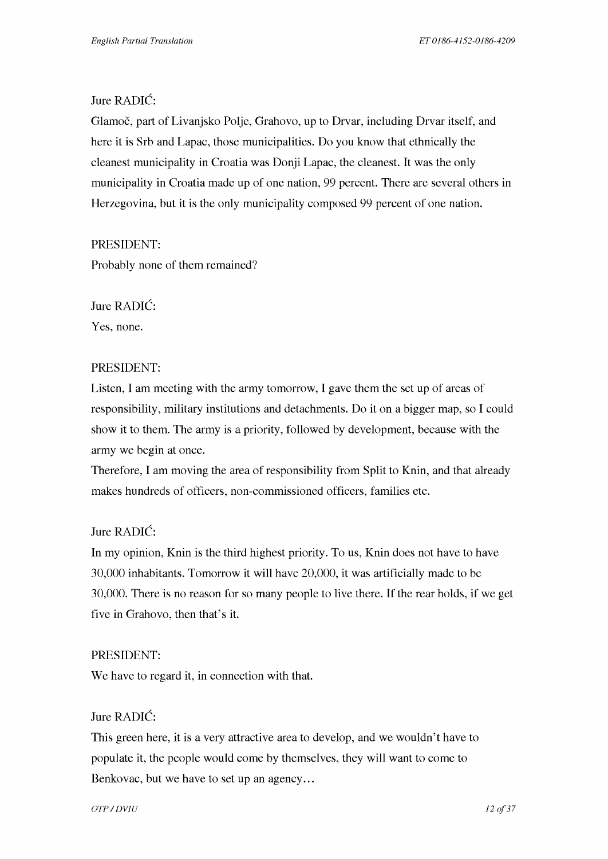# Jure RADIC:

Glamoč, part of Livanjsko Polje, Grahovo, up to Drvar, including Drvar itself, and here it is Srb and Lapac, those municipalities. Do you know that ethnically the cleanest municipality in Croatia was Donji Lapac, the cleanest. It was the only municipality in Croatia made up of one nation, 99 percent. There are several others in Herzegovina, but it is the only municipality composed 99 percent of one nation.

## PRESIDENT:

Probably none of them remained?

Jure RADIC: Yes, none.

## PRESIDENT:

Listen, I am meeting with the army tomorrow, I gave them the set up of areas of responsibility, military institutions and detachments. Do it on a bigger map, so I could show it to them. The army is a priority, followed by development, because with the army we begin at once.

Therefore, I am moving the area of responsibility from Split to Knin, and that already makes hundreds of officers, non-commissioned officers, families etc.

# Jure RADIC:

In my opinion, Knin is the third highest priority. To us, Knin does not have to have 30,000 inhabitants. Tomorrow it will have 20,000, it was artificially made to be 30,000. There is no reason for so many people to live there. If the rear holds, if we get five in Grahovo, then that's it.

## PRESIDENT:

We have to regard it, in connection with that.

## Jure RADIC:

This green here, it is a very attractive area to develop, and we wouldn't have to populate it, the people would come by themselves, they will want to come to Benkovac, but we have to set up an agency...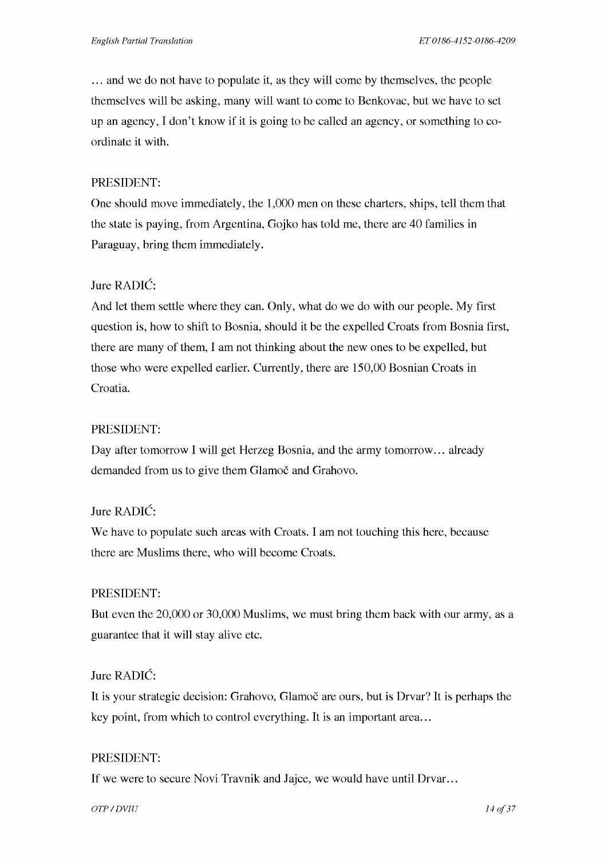... and we do not have to populate it, as they will come by themselves, the people themselves will be asking, many will want to come to Benkovac, but we have to set up an agency, I don't know if it is going to be called an agency, or something to coordinate it with.

#### PRESIDENT:

One should move immediately, the 1,000 men on these charters, ships, tell them that the state is paying, from Argentina, Gojko has told me, there are 40 families in Paraguay, bring them immediately.

## Jure RADIC:

And let them settle where they can. Only, what do we do with our people. My first question is, how to shift to Bosnia, should it be the expelled Croats from Bosnia first, there are many of them, I am not thinking about the new ones to be expelled, but those who were expelled earlier. Currently, there are 150,00 Bosnian Croats in Croatia.

#### PRESIDENT:

Day after tomorrow I will get Herzeg Bosnia, and the army tomorrow ... already demanded from us to give them Glamoč and Grahovo.

## Jure RADIC:

We have to populate such areas with Croats. I am not touching this here, because there are Muslims there, who will become Croats.

#### PRESIDENT:

But even the 20,000 or 30,000 Muslims, we must bring them back with our army, as a guarantee that it will stay alive etc.

#### Jure RADIC:

It is your strategic decision: Grahovo, Glamoč are ours, but is Drvar? It is perhaps the key point, from which to control everything. It is an important area...

#### PRESIDENT:

If we were to secure Novi Travnik and Jajce, we would have until Drvar ...

*OTP* / DVIU 14 of 37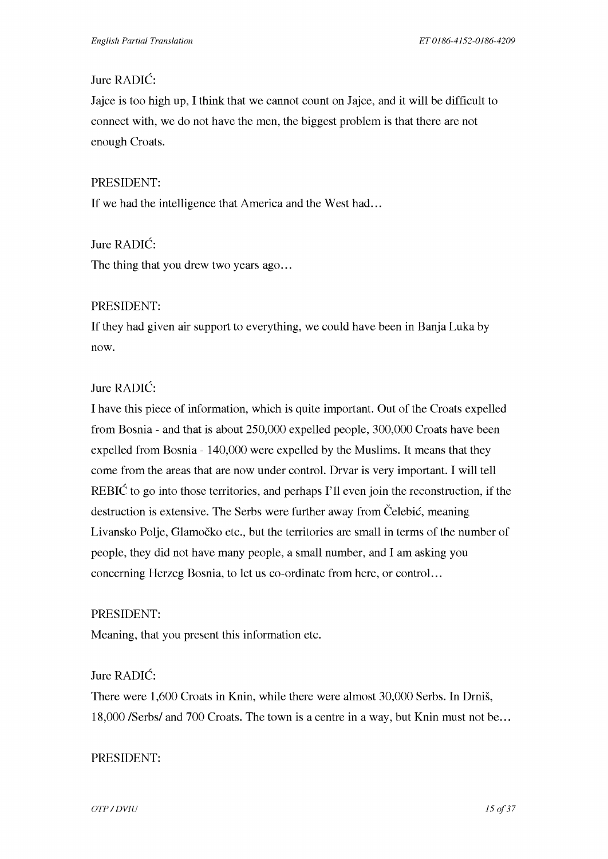# Jure RADIC:

Jajce is too high up, I think that we cannot count on Jajce, and it will be difficult to connect with, we do not have the men, the biggest problem is that there are not enough Croats.

#### PRESIDENT:

If we had the intelligence that America and the West had...

Jure RADIC:

The thing that you drew two years ago...

## PRESIDENT:

If they had given air support to everything, we could have been in Banja Luka by now.

# Jure RADIC:

I have this piece of information, which is quite important. Out of the Croats expelled from Bosnia - and that is about 250,000 expelled people, 300,000 Croats have been expelled from Bosnia - 140,000 were expelled by the Muslims. It means that they come from the areas that are now under control. Drvar is very important. I will tell REBIC to go into those territories, and perhaps I'll even join the reconstruction, if the destruction is extensive. The Serbs were further away from Celebic, meaning Livansko Polje, Glamocko etc., but the territories are small in terms of the number of people, they did not have many people, a small number, and I am asking you concerning Herzeg Bosnia, to let us co-ordinate from here, or control. ..

## PRESIDENT:

Meaning, that you present this information etc.

## Jure RADIC:

There were 1,600 Croats in Knin, while there were almost 30,000 Serbs. In Drnis, 18,000 /Serbs/ and 700 Croats. The town is a centre in a way, but Knin must not be ...

#### PRESIDENT:

*OTP* / DVIU 15 of 37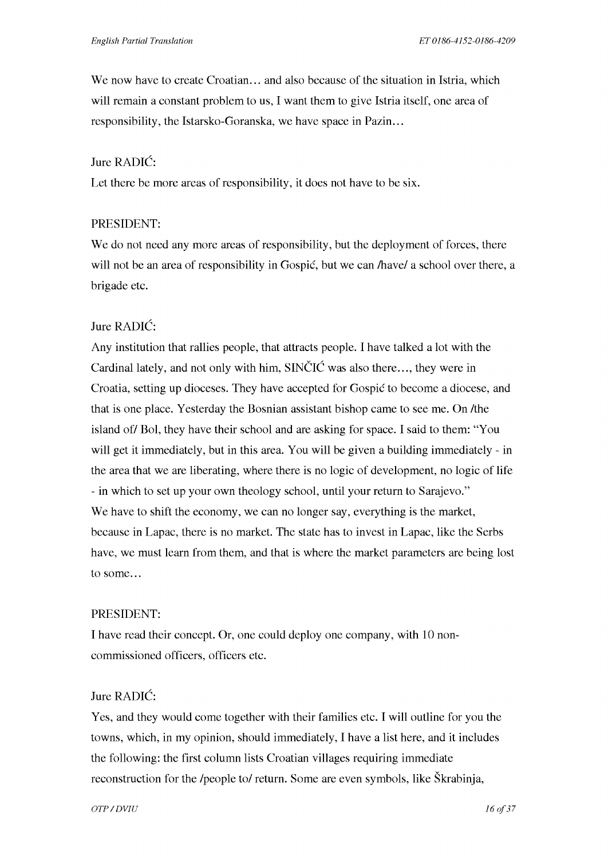We now have to create Croatian... and also because of the situation in Istria, which will remain a constant problem to us, I want them to give Istria itself, one area of responsibility, the Istarsko-Goranska, we have space in Pazin...

#### Jure RADIC:

Let there be more areas of responsibility, it does not have to be six.

#### PRESIDENT:

We do not need any more areas of responsibility, but the deployment of forces, there will not be an area of responsibility in Gospić, but we can /have/ a school over there, a brigade etc.

# Jure RADIC:

Any institution that rallies people, that attracts people. I have talked a lot with the Cardinal lately, and not only with him,  $\text{SIN}\text{CIC}$  was also there..., they were in Croatia, setting up dioceses. They have accepted for Gospic to become a diocese, and that is one place. Yesterday the Bosnian assistant bishop came to see me. On /the island of/ Bol, they have their school and are asking for space. I said to them: "You will get it immediately, but in this area. You will be given a building immediately - in the area that we are liberating, where there is no logic of development, no logic of life - in which to set up your own theology school, until your return to Sarajevo." We have to shift the economy, we can no longer say, everything is the market, because in Lapac, there is no market. The state has to invest in Lapac, like the Serbs have, we must learn from them, and that is where the market parameters are being lost to some...

#### PRESIDENT:

I have read their concept. Or, one could deploy one company, with 10 noncommissioned officers, officers etc.

# Jure RADIC:

Yes, and they would come together with their families etc. I will outline for you the towns, which, in my opinion, should immediately, I have a list here, and it includes the following: the first column lists Croatian villages requiring immediate reconstruction for the /people to/ return. Some are even symbols, like Skrabinja,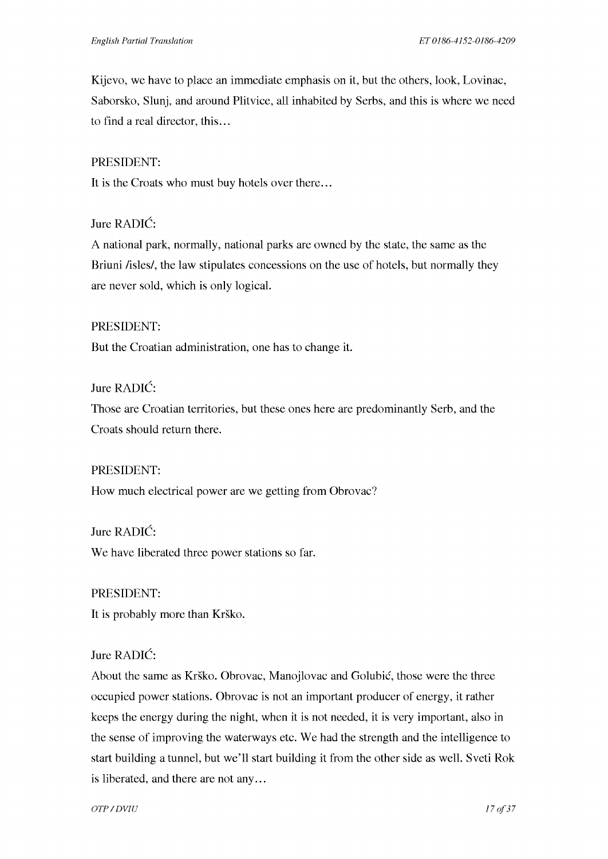Kijevo, we have to place an immediate emphasis on it, but the others, look, Lovinac, Saborsko, Slunj, and around Plitvice, all inhabited by Serbs, and this is where we need to find a real director, this...

## PRESIDENT:

It is the Croats who must buy hotels over there...

#### Jure RADIC:

A national park, normally, national parks are owned by the state, the same as the Briuni *fisles/*, the law stipulates concessions on the use of hotels, but normally they are never sold, which is only logical.

#### PRESIDENT:

But the Croatian administration, one has to change it.

## Jure RADIC:

Those are Croatian territories, but these ones here are predominantly Serb, and the Croats should return there.

#### PRESIDENT:

How much electrical power are we getting from Obrovac?

# Jure RADIC:

We have liberated three power stations so far.

# PRESIDENT:

It is probably more than Krško.

## Jure RADIC:

About the same as Krško. Obrovac, Manojlovac and Golubić, those were the three occupied power stations. Obrovac is not an important producer of energy, it rather keeps the energy during the night, when it is not needed, it is very important, also in the sense of improving the waterways etc. We had the strength and the intelligence to start building a tunnel, but we'll start building it from the other side as well. Sveti Rok is liberated, and there are not any...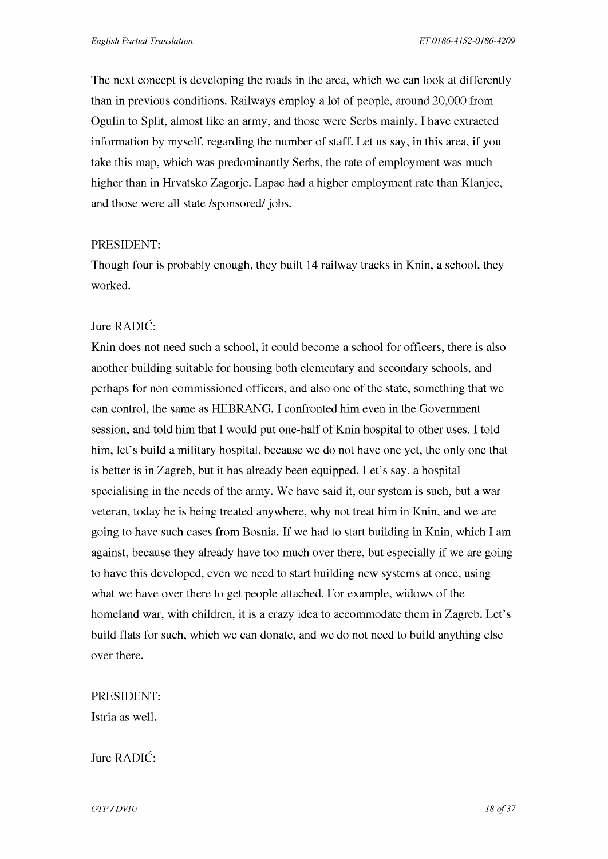The next concept is developing the roads in the area, which we can look at differently than in previous conditions. Railways employ a lot of people, around 20,000 from Ogulin to Split, almost like an army, and those were Serbs mainly. I have extracted information by myself, regarding the number of staff. Let us say, in this area, if you take this map, which was predominantly Serbs, the rate of employment was much higher than in Hrvatsko Zagorje. Lapac had a higher employment rate than Klanjec, and those were all state /sponsored/ jobs.

## PRESIDENT:

Though four is probably enough, they built 14 railway tracks in Knin, a school, they worked.

## Jure RADIC:

Knin does not need such a school, it could become a school for officers, there is also another building suitable for housing both elementary and secondary schools, and perhaps for non-commissioned officers, and also one of the state, something that we can control, the same as HEBRANG. I confronted him even in the Government session, and told him that I would put one-half of Knin hospital to other uses. I told him, let's build a military hospital, because we do not have one yet, the only one that is better is in Zagreb, but it has already been equipped. Let's say, a hospital specialising in the needs of the army. We have said it, our system is such, but a war veteran, today he is being treated anywhere, why not treat him in Knin, and we are going to have such cases from Bosnia. If we had to start building in Knin, which I am against, because they already have too much over there, but especially if we are going to have this developed, even we need to start building new systems at once, using what we have over there to get people attached. For example, widows of the homeland war, with children, it is a crazy idea to accommodate them in Zagreb. Let's build flats for such, which we can donate, and we do not need to build anything else over there.

## PRESIDENT:

Istria as well.

Jure RADIC:

*OTP* / DVIU 18 of 37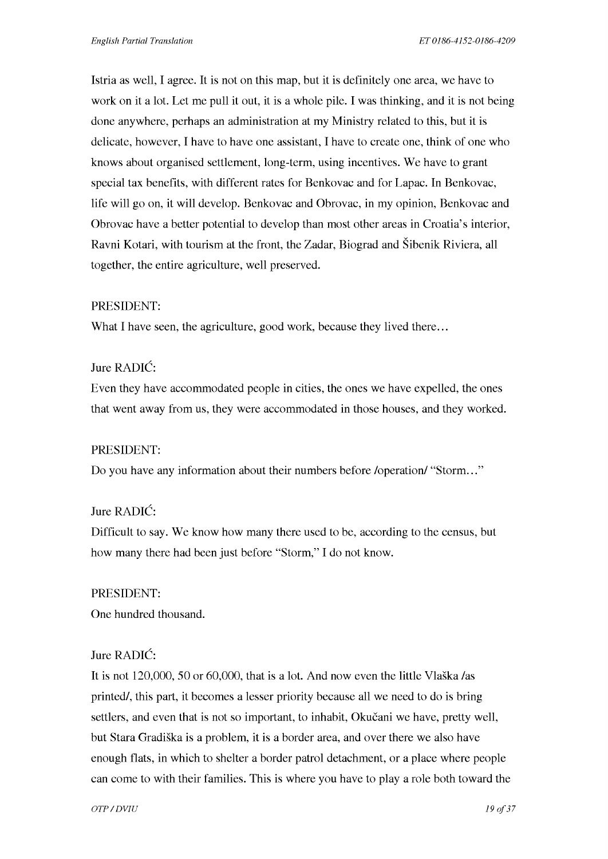Istria as well, I agree. It is not on this map, but it is definitely one area, we have to work on it a lot. Let me pull it out, it is a whole pile. I was thinking, and it is not being done anywhere, perhaps an administration at my Ministry related to this, but it is delicate, however, I have to have one assistant, I have to create one, think of one who knows about organised settlement, long-term, using incentives. We have to grant special tax benefits, with different rates for Benkovac and for Lapac. In Benkovac, life will go on, it will develop. Benkovac and Obrovac, in my opinion, Benkovac and Obrovac have a better potential to develop than most other areas in Croatia's interior, Ravni Kotari, with tourism at the front, the Zadar, Biograd and Sibenik Riviera, all together, the entire agriculture, well preserved.

#### PRESIDENT:

What I have seen, the agriculture, good work, because they lived there...

#### Jure RADIC:

Even they have accommodated people in cities, the ones we have expelled, the ones that went away from us, they were accommodated in those houses, and they worked.

#### PRESIDENT:

Do you have any information about their numbers before *loperation*/ "Storm..."

#### Jure RADIC:

Difficult to say. We know how many there used to be, according to the census, but how many there had been just before "Storm,'' I do not know.

#### PRESIDENT:

One hundred thousand.

#### Jure RADIC:

It is not 120,000, 50 or 60,000, that is a lot. And now even the little Vlaška /as printed/, this part, it becomes a lesser priority because all we need to do is bring settlers, and even that is not so important, to inhabit, Okučani we have, pretty well, but Stara Gradiska is a problem, it is a border area, and over there we also have enough flats, in which to shelter a border patrol detachment, or a place where people can come to with their families. This is where you have to play a role both toward the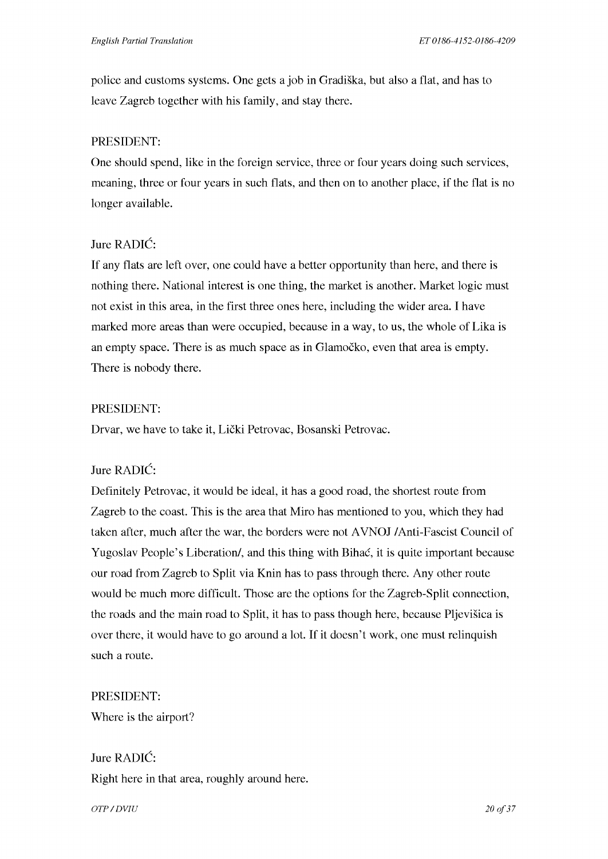police and customs systems. One gets a job in Gradiska, but also a flat, and has to leave Zagreb together with his family, and stay there.

## PRESIDENT:

One should spend, like in the foreign service, three or four years doing such services, meaning, three or four years in such flats, and then on to another place, if the flat is no longer available.

# Jure RADIC:

If any flats are left over, one could have a better opportunity than here, and there is nothing there. National interest is one thing, the market is another. Market logic must not exist in this area, in the first three ones here, including the wider area. I have marked more areas than were occupied, because in a way, to us, the whole of Lika is an empty space. There is as much space as in Glamocko, even that area is empty. There is nobody there.

## PRESIDENT:

Drvar, we have to take it, Licki Petrovac, Bosanski Petrovac.

# Jure RADIC:

Definitely Petrovac, it would be ideal, it has a good road, the shortest route from Zagreb to the coast. This is the area that Miro has mentioned to you, which they had taken after, much after the war, the borders were not AVNOJ /Anti-Fascist Council of Yugoslav People's Liberation/, and this thing with Bihac, it is quite important because our road from Zagreb to Split via Knin has to pass through there. Any other route would be much more difficult. Those are the options for the Zagreb-Split connection, the roads and the main road to Split, it has to pass though here, because Pljevisica is over there, it would have to go around a lot. If it doesn't work, one must relinquish such a route.

## PRESIDENT:

Where is the airport?

Jure RADIC: Right here in that area, roughly around here.

*OTP* / DVIU 20 of 37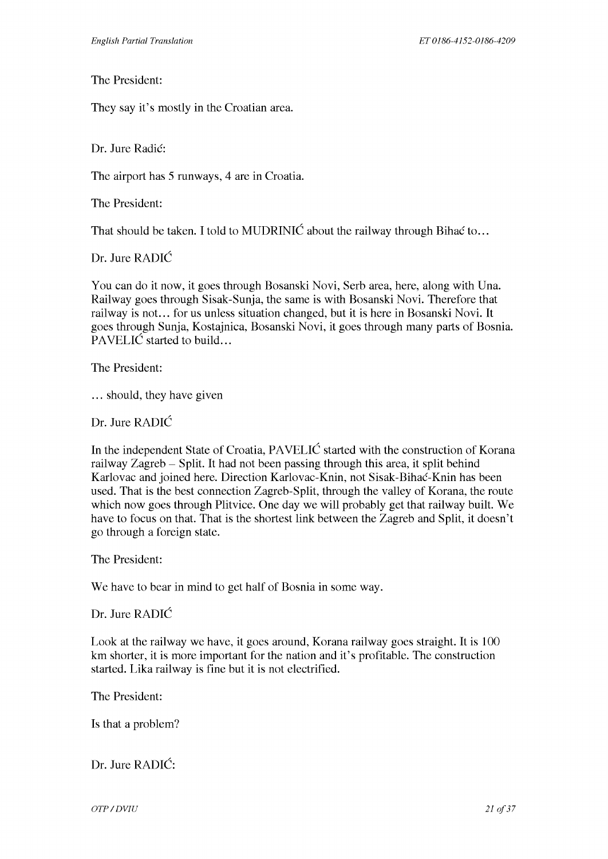The President:

They say it's mostly in the Croatian area.

Dr. Jure Radić:

The airport has 5 runways, 4 are in Croatia.

The President:

That should be taken. I told to MUDRINIC about the railway through Bihac to...

Dr. Jure RADIC

You can do it now, it goes through Bosanski Novi, Serb area, here, along with Una. Railway goes through Sisak-Sunja, the same is with Bosanski Novi. Therefore that railway is not... for us unless situation changed, but it is here in Bosanski Novi. It goes through Sunja, Kostajnica, Bosanski Novi, it goes through many parts of Bosnia. PAVELIC started to build...

The President:

... should, they have given

Dr. Jure RADIC

In the independent State of Croatia, PAVELIC started with the construction of Korana railway Zagreb - Split. It had not been passing through this area, it split behind Karlovac and joined here. Direction Karlovac-Knin, not Sisak-Bihac-Knin has been used. That is the best connection Zagreb-Split, through the valley of Korana, the route which now goes through Plitvice. One day we will probably get that railway built. We have to focus on that. That is the shortest link between the Zagreb and Split, it doesn't go through a foreign state.

The President:

We have to bear in mind to get half of Bosnia in some way.

Dr. Jure RADIC

Look at the railway we have, it goes around, Korana railway goes straight. It is 100 km shorter, it is more important for the nation and it's profitable. The construction started. Lika railway is fine but it is not electrified.

The President:

Is that a problem?

Dr. Jure RADIC:

*OTP* / DVIU 21 of 37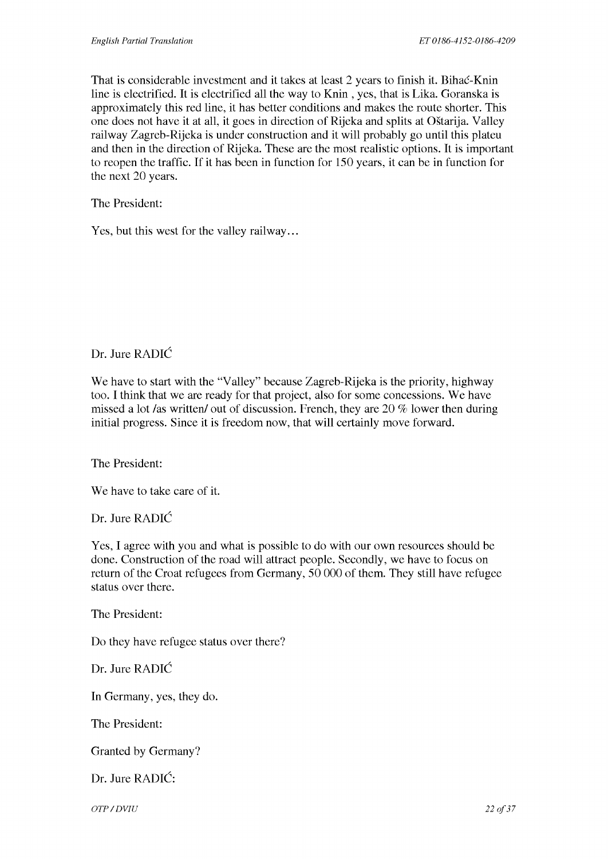That is considerable investment and it takes at least 2 years to finish it. Bihac-Knin line is electrified. It is electrified all the way to Knin , yes, that is Lika. Goranska is approximately this red line, it has better conditions and makes the route shorter. This one does not have it at all, it goes in direction of Rijeka and splits at Ostarija. Valley railway Zagreb-Rijeka is under construction and it will probably go until this plateu and then in the direction of Rijeka. These are the most realistic options. It is important to reopen the traffic. If it has been in function for 150 years, it can be in function for the next 20 years.

The President:

Yes, but this west for the valley railway...

Dr. Jure RADIC

We have to start with the "Valley" because Zagreb-Rijeka is the priority, highway too. I think that we are ready for that project, also for some concessions. We have missed a lot /as written/ out of discussion. French, they are  $20\%$  lower then during initial progress. Since it is freedom now, that will certainly move forward.

The President:

We have to take care of it.

Dr. Jure RADIC

Yes, I agree with you and what is possible to do with our own resources should be done. Construction of the road will attract people. Secondly, we have to focus on return of the Croat refugees from Germany, 50 000 of them. They still have refugee status over there.

The President:

Do they have refugee status over there?

Dr. Jure RADIC

In Germany, yes, they do.

The President:

Granted by Germany?

Dr. Jure RADIC:

*OTP* / DVIU 22 of 37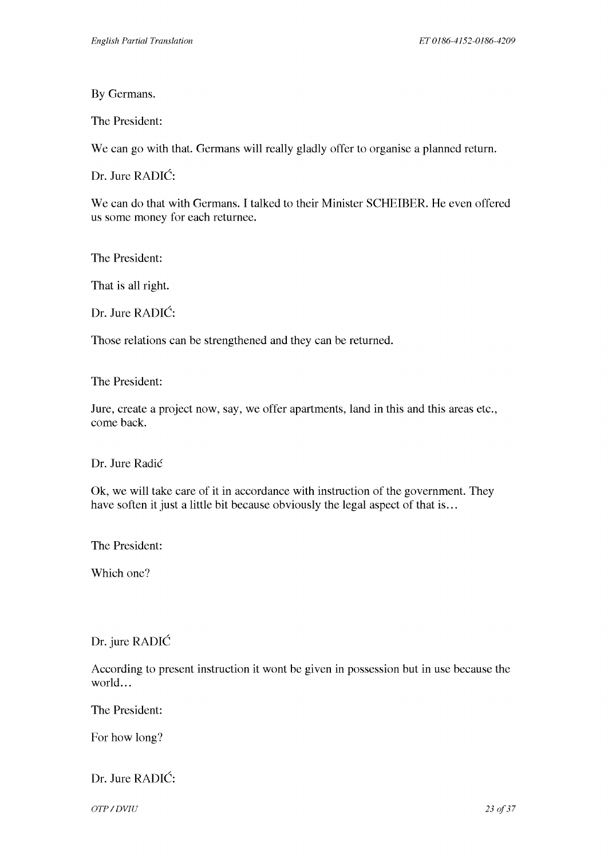By Germans.

The President:

We can go with that. Germans will really gladly offer to organise a planned return.

Dr. Jure RADIC:

We can do that with Germans. I talked to their Minister SCHEIBER. He even offered us some money for each returnee.

The President:

That is all right.

Dr. Jure RADIC:

Those relations can be strengthened and they can be returned.

The President:

Jure, create a project now, say, we offer apartments, land in this and this areas etc., come back.

Dr. Jure Radie

Ok, we will take care of it in accordance with instruction of the government. They have soften it just a little bit because obviously the legal aspect of that is...

The President:

Which one?

Dr. jure RADIC

According to present instruction it wont be given in possession but in use because the world...

The President:

For how long?

# Dr. Jure RADIC:

*OTP* / DVIU 23 of 37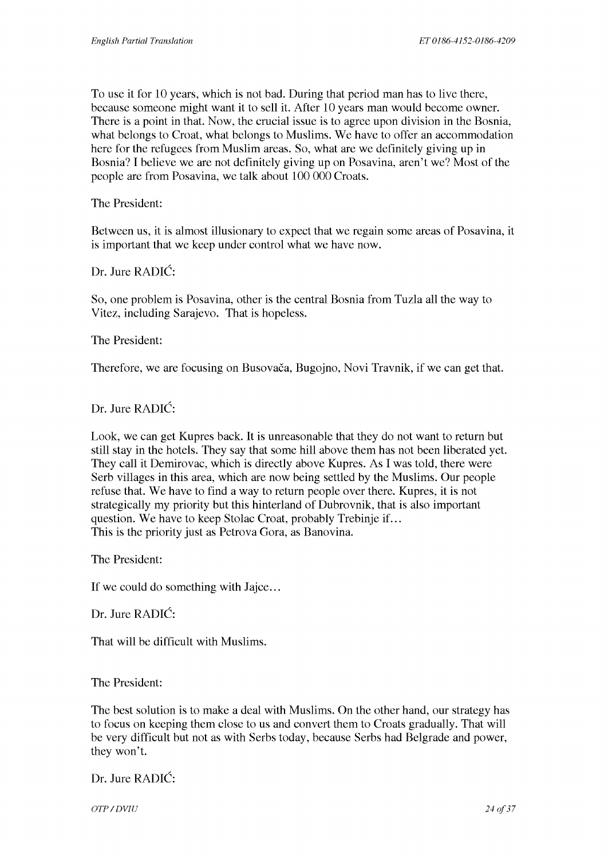To use it for 10 years, which is not bad. During that period man has to live there, because someone might want it to sell it. After 10 years man would become owner. There is a point in that. Now, the crucial issue is to agree upon division in the Bosnia, what belongs to Croat, what belongs to Muslims. We have to offer an accommodation here for the refugees from Muslim areas. So, what are we definitely giving up in Bosnia? I believe we are not definitely giving up on Posavina, aren't we? Most of the people are from Posavina, we talk about 100 000 Croats.

The President:

Between us, it is almost illusionary to expect that we regain some areas of Posavina, it is important that we keep under control what we have now.

Dr. Jure RADIC:

So, one problem is Posavina, other is the central Bosnia from Tuzla all the way to Vitez, including Sarajevo. That is hopeless.

The President:

Therefore, we are focusing on Busovaca, Bugojno, Novi Travnik, if we can get that.

Dr. Jure RADIC:

Look, we can get Kupres back. It is unreasonable that they do not want to return but still stay in the hotels. They say that some hill above them has not been liberated yet. They call it Demirovac, which is directly above Kupres. As I was told, there were Serb villages in this area, which are now being settled by the Muslims. Our people refuse that. We have to find a way to return people over there. Kupres, it is not strategically my priority but this hinterland of Dubrovnik, that is also important question. We have to keep Stolac Croat, probably Trebinje if ... This is the priority just as Petrova Gora, as Banovina.

The President:

If we could do something with Jajce...

Dr. Jure RADIC:

That will be difficult with Muslims.

The President:

The best solution is to make a deal with Muslims. On the other hand, our strategy has to focus on keeping them close to us and convert them to Croats gradually. That will be very difficult but not as with Serbs today, because Serbs had Belgrade and power, they won't.

Dr. Jure RADIC:

*OTP* / DVIU 24 of 37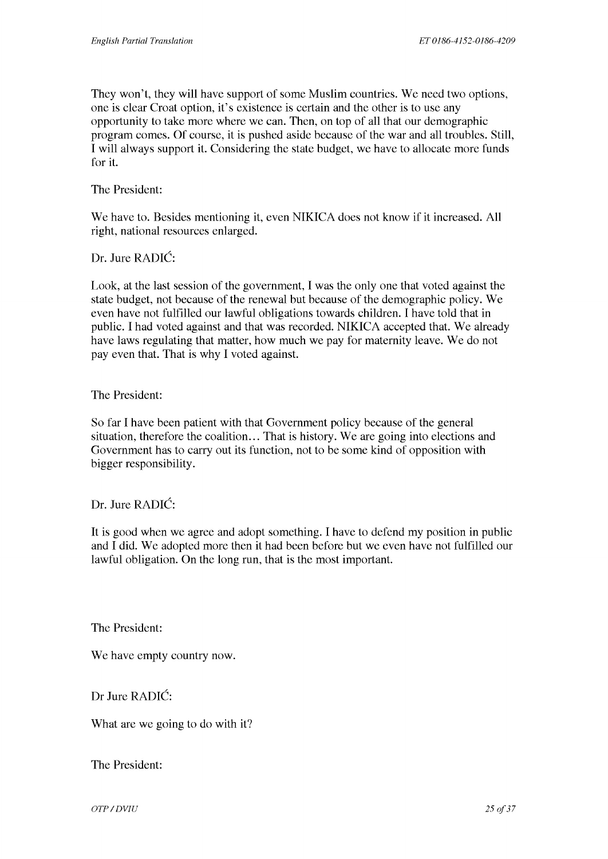They won't, they will have support of some Muslim countries. We need two options, one is clear Croat option, it's existence is certain and the other is to use any opportunity to take more where we can. Then, on top of all that our demographic program comes. Of course, it is pushed aside because of the war and all troubles. Still, I will always support it. Considering the state budget, we have to allocate more funds for it.

The President:

We have to. Besides mentioning it, even NIKICA does not know if it increased. All right, national resources enlarged.

Dr. Jure RADIC:

Look, at the last session of the government, I was the only one that voted against the state budget, not because of the renewal but because of the demographic policy. We even have not fulfilled our lawful obligations towards children. I have told that in public. I had voted against and that was recorded. NIKICA accepted that. We already have laws regulating that matter, how much we pay for maternity leave. We do not pay even that. That is why I voted against.

#### The President:

So far I have been patient with that Government policy because of the general situation, therefore the coalition... That is history. We are going into elections and Government has to carry out its function, not to be some kind of opposition with bigger responsibility.

## Dr. Jure RADIC:

It is good when we agree and adopt something. I have to defend my position in public and I did. We adopted more then it had been before but we even have not fulfilled our lawful obligation. On the long run, that is the most important.

The President:

We have empty country now.

Dr Jure RADIC:

What are we going to do with it?

The President:

*OTP* / DVIU 25 of 37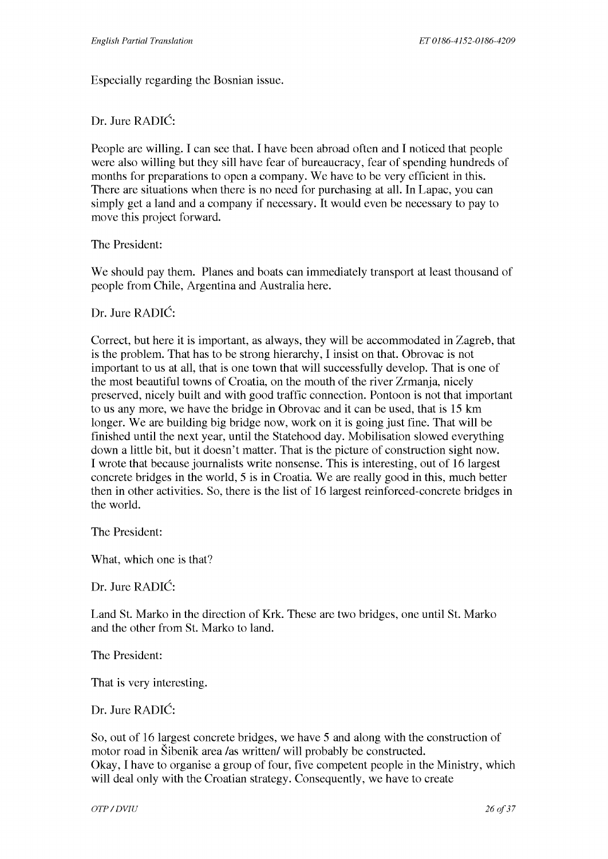Especially regarding the Bosnian issue.

#### Dr. Jure RADIC:

People are willing. I can see that. I have been abroad often and I noticed that people were also willing but they sill have fear of bureaucracy, fear of spending hundreds of months for preparations to open a company. We have to be very efficient in this. There are situations when there is no need for purchasing at all. In Lapac, you can simply get a land and a company if necessary. It would even be necessary to pay to move this project forward.

The President:

We should pay them. Planes and boats can immediately transport at least thousand of people from Chile, Argentina and Australia here.

#### Dr. Jure RADIC:

Correct, but here it is important, as always, they will be accommodated in Zagreb, that is the problem. That has to be strong hierarchy, I insist on that. Obrovac is not important to us at all, that is one town that will successfully develop. That is one of the most beautiful towns of Croatia, on the mouth of the river Zrmanja, nicely preserved, nicely built and with good traffic connection. Pontoon is not that important to us any more, we have the bridge in Obrovac and it can be used, that is 15 km longer. We are building big bridge now, work on it is going just fine. That will be finished until the next year, until the Statehood day. Mobilisation slowed everything down a little bit, but it doesn't matter. That is the picture of construction sight now. I wrote that because journalists write nonsense. This is interesting, out of 16 largest concrete bridges in the world, 5 is in Croatia. We are really good in this, much better then in other activities. So, there is the list of 16 largest reinforced-concrete bridges in the world.

The President:

What, which one is that?

Dr. Jure RADIC:

Land St. Marko in the direction of Krk. These are two bridges, one until St. Marko and the other from St. Marko to land.

The President:

That is very interesting.

#### Dr. Jure RADIC:

So, out of 16 largest concrete bridges, we have 5 and along with the construction of motor road in Sibenik area /as written/ will probably be constructed. Okay, I have to organise a group of four, five competent people in the Ministry, which will deal only with the Croatian strategy. Consequently, we have to create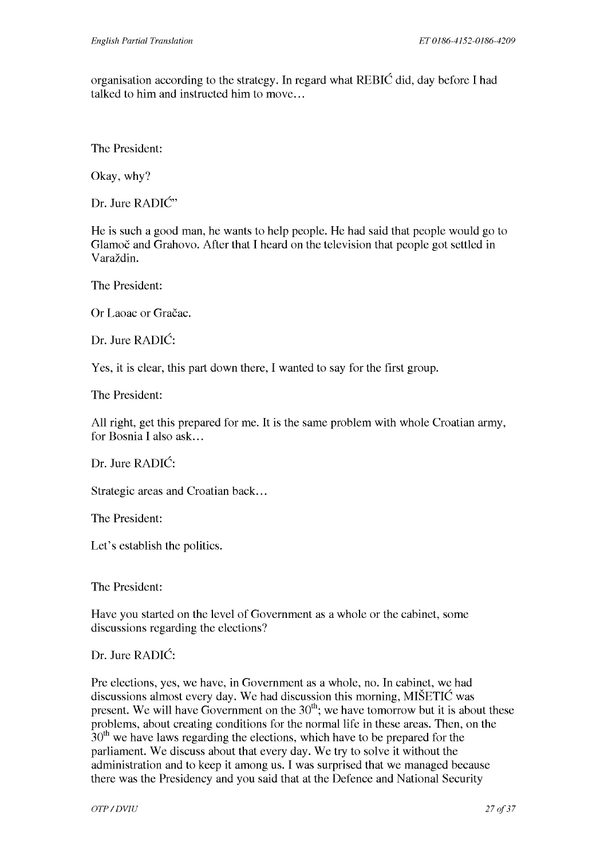organisation according to the strategy. In regard what REBIC did, day before I had talked to him and instructed him to move...

The President:

Okay, why?

Dr. Jure RADIC"

He is such a good man, he wants to help people. He had said that people would go to Glamoč and Grahovo. After that I heard on the television that people got settled in Varazdin.

The President:

Or Laoac or Gračac.

Dr. Jure RADIC:

Yes, it is clear, this part down there, I wanted to say for the first group.

The President:

All right, get this prepared for me. It is the same problem with whole Croatian army, for Bosnia I also ask...

Dr. Jure RADIC:

Strategic areas and Croatian back...

The President:

Let's establish the politics.

The President:

Have you started on the level of Government as a whole or the cabinet, some discussions regarding the elections?

#### Dr. Jure RADIC:

Pre elections, yes, we have, in Government as a whole, no. In cabinet, we had discussions almost every day. We had discussion this morning, MISETIC was present. We will have Government on the  $30<sup>th</sup>$ ; we have tomorrow but it is about these problems, about creating conditions for the normal life in these areas. Then, on the  $30<sup>th</sup>$  we have laws regarding the elections, which have to be prepared for the parliament. We discuss about that every day. We try to solve it without the administration and to keep it among us. I was surprised that we managed because there was the Presidency and you said that at the Defence and National Security

*OTP* / DVIU 27 of 37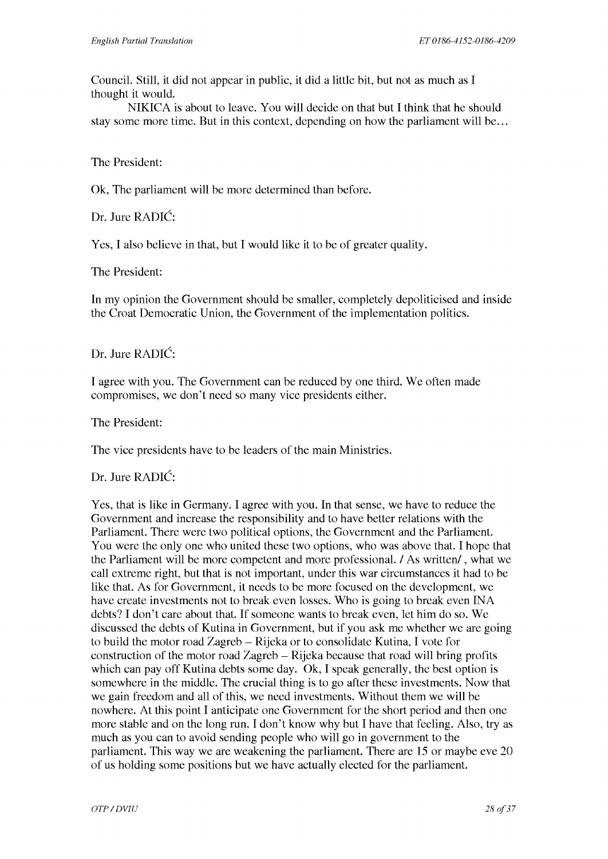Council. Still, it did not appear in public, it did a little bit, but not as much as I thought it would.

NIKICA is about to leave. You will decide on that but I think that he should stay some more time. But in this context, depending on how the parliament will be ...

#### The President:

Ok, The parliament will be more determined than before.

Dr. Jure RADIC:

Yes, I also believe in that, but I would like it to be of greater quality.

The President:

In my opinion the Government should be smaller, completely depoliticised and inside the Croat Democratic Union, the Government of the implementation politics.

#### Dr. Jure RADIC:

I agree with you. The Government can be reduced by one third. We often made compromises, we don't need so many vice presidents either.

The President:

The vice presidents have to be leaders of the main Ministries.

#### Dr. Jure RADIC:

Yes, that is like in Germany. I agree with you. In that sense, we have to reduce the Government and increase the responsibility and to have better relations with the Parliament. There were two political options, the Government and the Parliament. You were the only one who united these two options, who was above that. I hope that the Parliament will be more competent and more professional. I As written/, what we call extreme right, but that is not important, under this war circumstances it had to be like that. As for Government, it needs to be more focused on the development, we have create investments not to break even losses. Who is going to break even INA debts? I don't care about that. If someone wants to break even, let him do so. We discussed the debts of Kutina in Government, but if you ask me whether we are going to build the motor road Zagreb - Rijeka or to consolidate Kutina, I vote for construction of the motor road Zagreb - Rijeka because that road will bring profits which can pay off Kutina debts some day. Ok, I speak generally, the best option is somewhere in the middle. The crucial thing is to go after these investments. Now that we gain freedom and all of this, we need investments. Without them we will be nowhere. At this point I anticipate one Government for the short period and then one more stable and on the long run. I don't know why but I have that feeling. Also, try as much as you can to avoid sending people who will go in government to the parliament. This way we are weakening the parliament. There are 15 or maybe eve 20 of us holding some positions but we have actually elected for the parliament.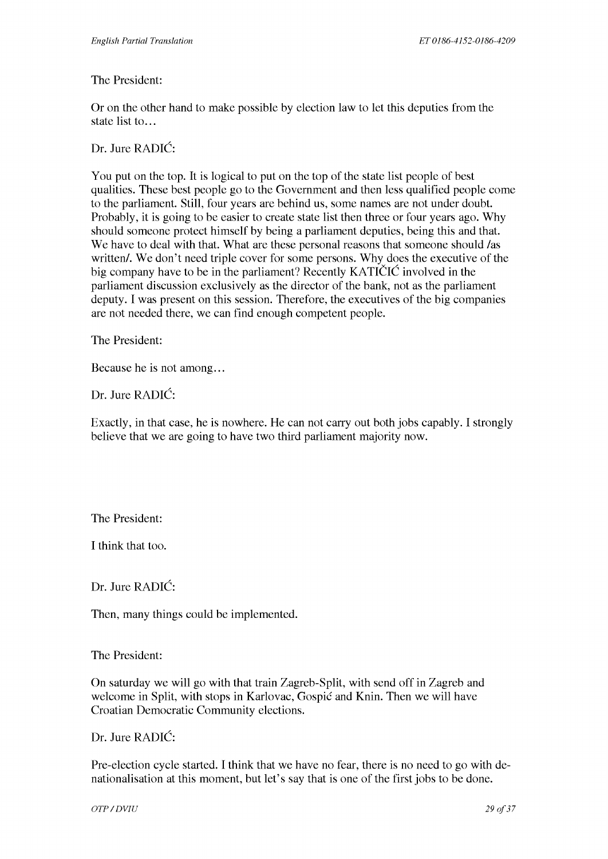#### The President:

Or on the other hand to make possible by election law to let this deputies from the state list to...

Dr. Jure RADIC:

You put on the top. It is logical to put on the top of the state list people of best qualities. These best people go to the Government and then less qualified people come to the parliament. Still, four years are behind us, some names are not under doubt. Probably, it is going to be easier to create state list then three or four years ago. Why should someone protect himself by being a parliament deputies, being this and that. We have to deal with that. What are these personal reasons that someone should /as written/. We don't need triple cover for some persons. Why does the executive of the big company have to be in the parliament? Recently KATICIC involved in the parliament discussion exclusively as the director of the bank, not as the parliament deputy. I was present on this session. Therefore, the executives of the big companies are not needed there, we can find enough competent people.

The President:

Because he is not among...

Dr. Jure RADIC:

Exactly, in that case, he is nowhere. He can not carry out both jobs capably. I strongly believe that we are going to have two third parliament majority now.

The President:

I think that too.

Dr. Jure RADIC:

Then, many things could be implemented.

The President:

On saturday we will go with that train Zagreb-Split, with send off in Zagreb and welcome in Split, with stops in Karlovac, Gospic and Knin. Then we will have Croatian Democratic Community elections.

Dr. Jure RADIC:

Pre-election cycle started. I think that we have no fear, there is no need to go with denationalisation at this moment, but let's say that is one of the first jobs to be done.

*OTP* / DVIU 29 of 37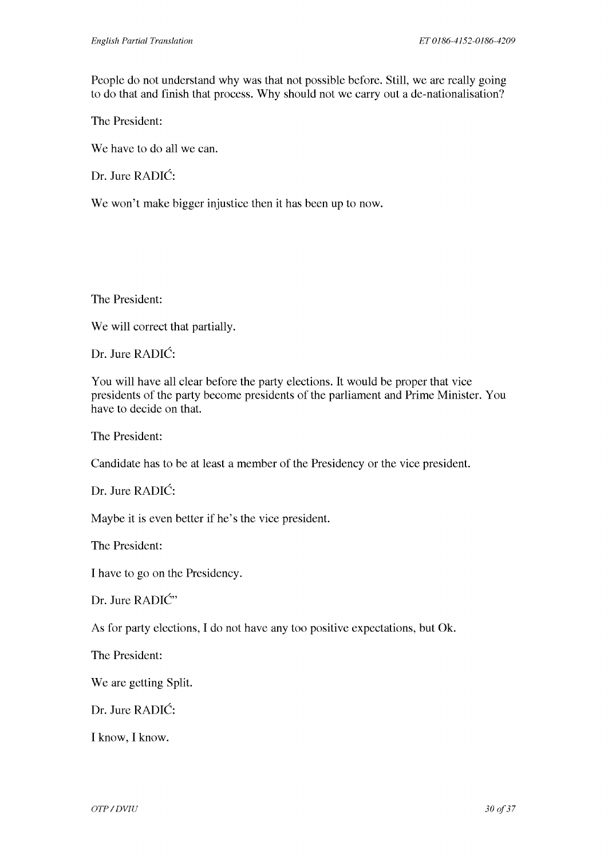People do not understand why was that not possible before. Still, we are really going to do that and finish that process. Why should not we carry out a de-nationalisation?

The President:

We have to do all we can.

Dr. Jure RADIC:

We won't make bigger injustice then it has been up to now.

The President:

We will correct that partially.

Dr. Jure RADIC:

You will have all clear before the party elections. It would be proper that vice presidents of the party become presidents of the parliament and Prime Minister. You have to decide on that.

The President:

Candidate has to be at least a member of the Presidency or the vice president.

Dr. Jure RADIC:

Maybe it is even better if he's the vice president.

The President:

I have to go on the Presidency.

Dr. Jure RADIĆ"

As for party elections, I do not have any too positive expectations, but Ok.

The President:

We are getting Split.

Dr. Jure RADIC:

I know, I know.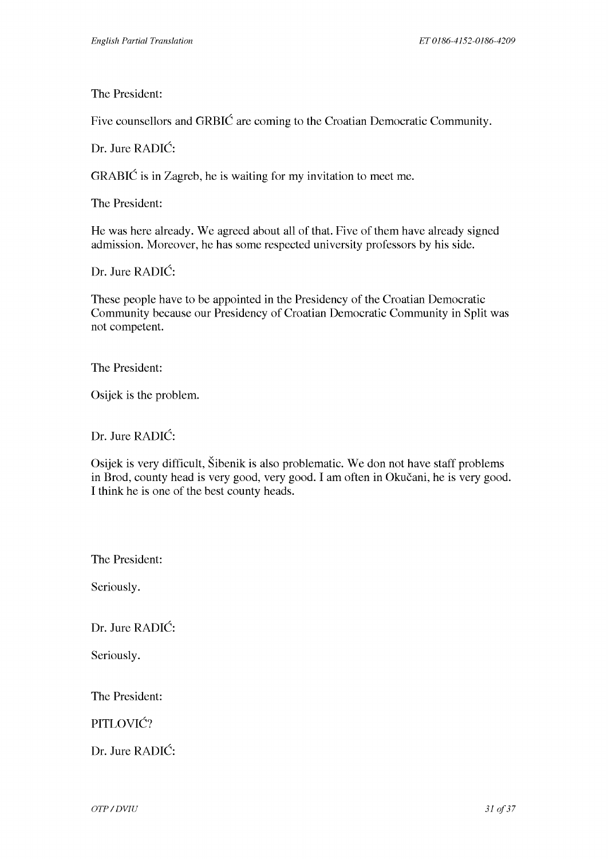The President:

Five counsellors and GRBIC are coming to the Croatian Democratic Community.

Dr. Jure RADIC:

GRABIC is in Zagreb, he is waiting for my invitation to meet me.

The President:

He was here already. We agreed about all of that. Five of them have already signed admission. Moreover, he has some respected university professors by his side.

Dr. Jure RADIC:

These people have to be appointed in the Presidency of the Croatian Democratic Community because our Presidency of Croatian Democratic Community in Split was not competent.

The President:

Osijek is the problem.

Dr. Jure RADIC:

Osijek is very difficult, Sibenik is also problematic. We don not have staff problems in Brod, county head is very good, very good. I am often in Okucani, he is very good. I think he is one of the best county heads.

The President:

Seriously.

Dr. Jure RADIC:

Seriously.

The President:

PITLOVIĆ?

Dr. Jure RADIC: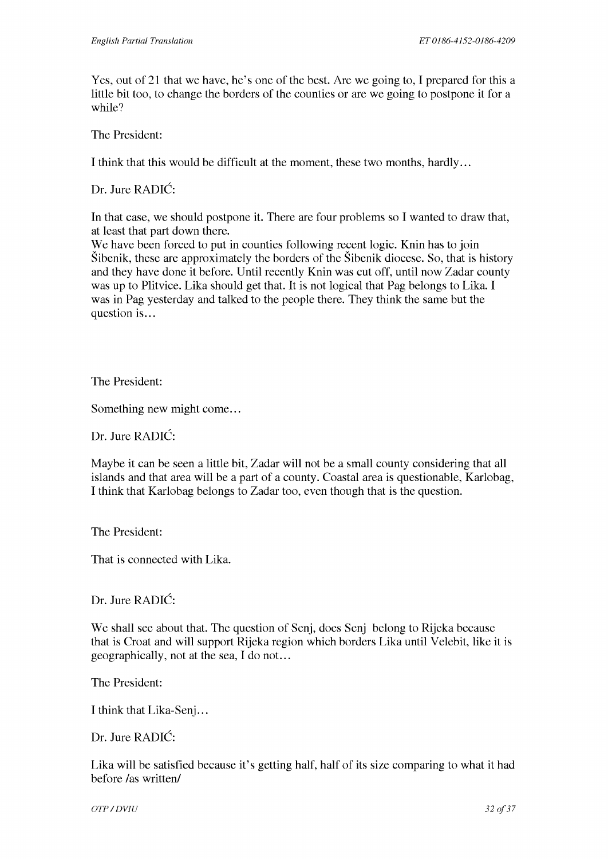Yes, out of 21 that we have, he's one of the best. Are we going to, I prepared for this a little bit too, to change the borders of the counties or are we going to postpone it for a while?

The President:

I think that this would be difficult at the moment, these two months, hardly ...

Dr. Jure RADIC:

In that case, we should postpone it. There are four problems so I wanted to draw that, at least that part down there.

We have been forced to put in counties following recent logic. Knin has to join Sibenik, these are approximately the borders of the Sibenik diocese. So, that is history and they have done it before. Until recently Knin was cut off, until now Zadar county was up to Plitvice. Lika should get that. It is not logical that Pag belongs to Lika. I was in Pag yesterday and talked to the people there. They think the same but the question is...

The President:

Something new might come...

Dr. Jure RADIC:

Maybe it can be seen a little bit, Zadar will not be a small county considering that all islands and that area will be a part of a county. Coastal area is questionable, Karlobag, I think that Karlobag belongs to Zadar too, even though that is the question.

The President:

That is connected with Lika.

Dr. Jure RADIC:

We shall see about that. The question of Senj, does Senj belong to Rijeka because that is Croat and will support Rijeka region which borders Lika until Velebit, like it is geographically, not at the sea, I do not. ..

The President:

I think that Lika-Senj...

Dr. Jure RADIC:

Lika will be satisfied because it's getting half, half of its size comparing to what it had before /as written/

*OTP* / DVIU 32 of 37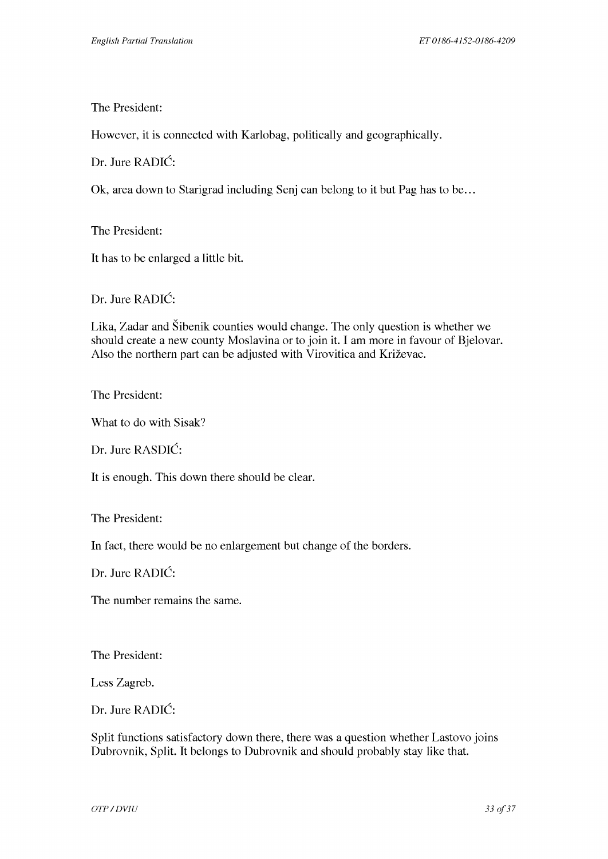The President:

However, it is connected with Karlobag, politically and geographically.

Dr. Jure RADIC:

Ok, area down to Starigrad including Senj can belong to it but Pag has to be ...

The President:

It has to be enlarged a little bit.

Dr. Jure RADIC:

Lika, Zadar and Sibenik counties would change. The only question is whether we should create a new county Moslavina or to join it. I am more in favour of Bjelovar. Also the northern part can be adjusted with Virovitica and Krizevac.

The President:

What to do with Sisak?

Dr. Jure RASDIC:

It is enough. This down there should be clear.

The President:

In fact, there would be no enlargement but change of the borders.

Dr. Jure RADIC:

The number remains the same.

The President:

Less Zagreb.

Dr. Jure RADIC:

Split functions satisfactory down there, there was a question whether Lastovo joins Dubrovnik, Split. It belongs to Dubrovnik and should probably stay like that.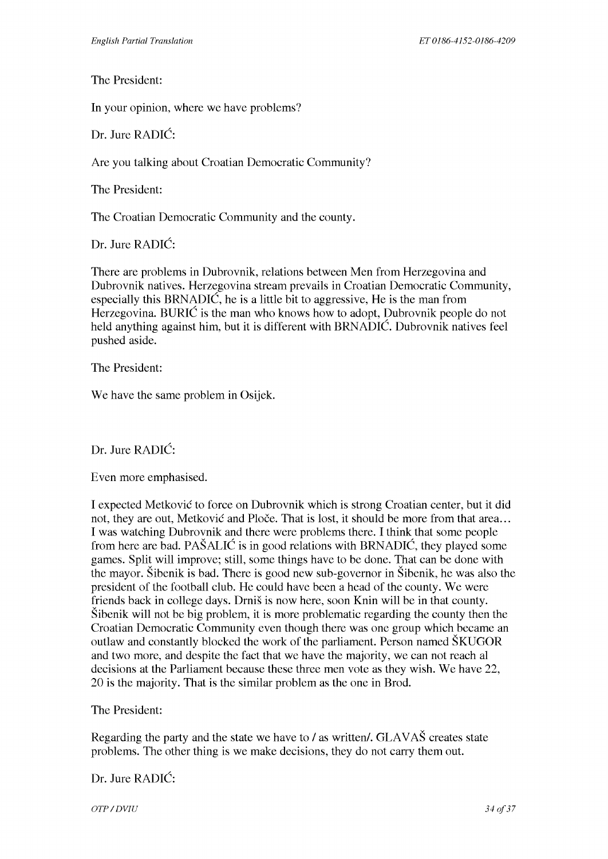The President:

In your opinion, where we have problems?

Dr. Jure RADIC:

Are you talking about Croatian Democratic Community?

The President:

The Croatian Democratic Community and the county.

Dr. Jure RADIC:

There are problems in Dubrovnik, relations between Men from Herzegovina and Dubrovnik natives. Herzegovina stream prevails in Croatian Democratic Community, especially this BRNADIC, he is a little bit to aggressive, He is the man from Herzegovina. BURIC is the man who knows how to adopt, Dubrovnik people do not held anything against him, but it is different with BRNADIC. Dubrovnik natives feel pushed aside.

The President:

We have the same problem in Osijek.

Dr. Jure RADIC:

Even more emphasised.

I expected Metkovic to force on Dubrovnik which is strong Croatian center, but it did not, they are out, Metković and Ploče. That is lost, it should be more from that area... I was watching Dubrovnik and there were problems there. I think that some people from here are bad. PASALIC is in good relations with BRNADIC, they played some games. Split will improve; still, some things have to be done. That can be done with the mayor. Sibenik is bad. There is good new sub-governor in Sibenik, he was also the president of the football club. He could have been a head of the county. We were friends back in college days. Drnis is now here, soon Knin will be in that county. Sibenik will not be big problem, it is more problematic regarding the county then the Croatian Democratic Community even though there was one group which became an outlaw and constantly blocked the work of the parliament. Person named SKUGOR and two more, and despite the fact that we have the majority, we can not reach al decisions at the Parliament because these three men vote as they wish. We have 22, 20 is the majority. That is the similar problem as the one in Brod.

The President:

Regarding the party and the state we have to / as written/. GLAVAS creates state problems. The other thing is we make decisions, they do not carry them out.

Dr. Jure RADIC:

*OTP* / DVIU 34 of 37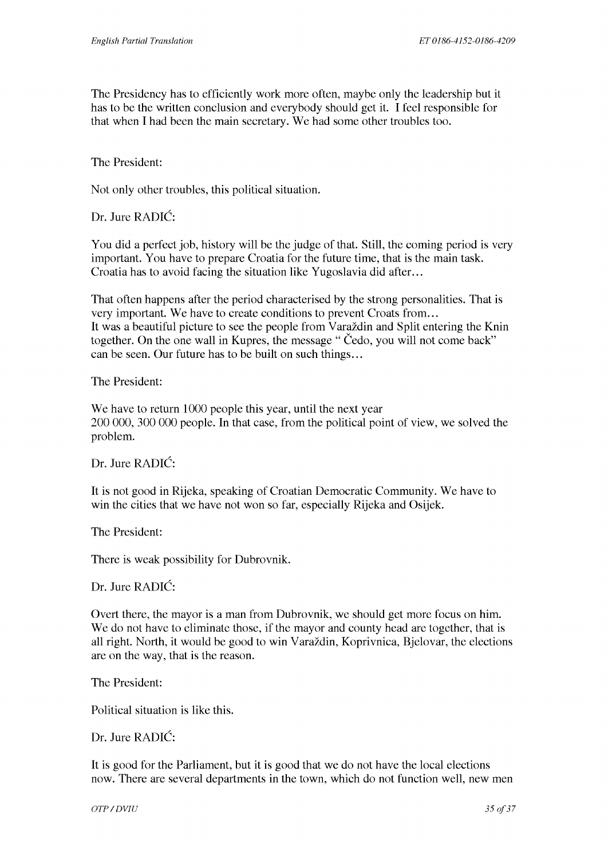The Presidency has to efficiently work more often, maybe only the leadership but it has to be the written conclusion and everybody should get it. I feel responsible for that when I had been the main secretary. We had some other troubles too.

The President:

Not only other troubles, this political situation.

Dr. Jure RADIC:

You did a perfect job, history will be the judge of that. Still, the coming period is very important. You have to prepare Croatia for the future time, that is the main task. Croatia has to avoid facing the situation like Yugoslavia did after...

That often happens after the period characterised by the strong personalities. That is very important. We have to create conditions to prevent Croats from... It was a beautiful picture to see the people from Varaždin and Split entering the Knin together. On the one wall in Kupres, the message "Cedo, you will not come back" can be seen. Our future has to be built on such things...

The President:

We have to return 1000 people this year, until the next year 200 000, 300 000 people. In that case, from the political point of view, we solved the problem.

Dr. Jure RADIC:

It is not good in Rijeka, speaking of Croatian Democratic Community. We have to win the cities that we have not won so far, especially Rijeka and Osijek.

The President:

There is weak possibility for Dubrovnik.

Dr. Jure RADIC:

Overt there, the mayor is a man from Dubrovnik, we should get more focus on him. We do not have to eliminate those, if the mayor and county head are together, that is all right. North, it would be good to win Varazdin, Koprivnica, Bjelovar, the elections are on the way, that is the reason.

The President:

Political situation is like this.

Dr. Jure RADIC:

It is good for the Parliament, but it is good that we do not have the local elections now. There are several departments in the town, which do not function well, new men

*OTP* / DVIU 35 of 37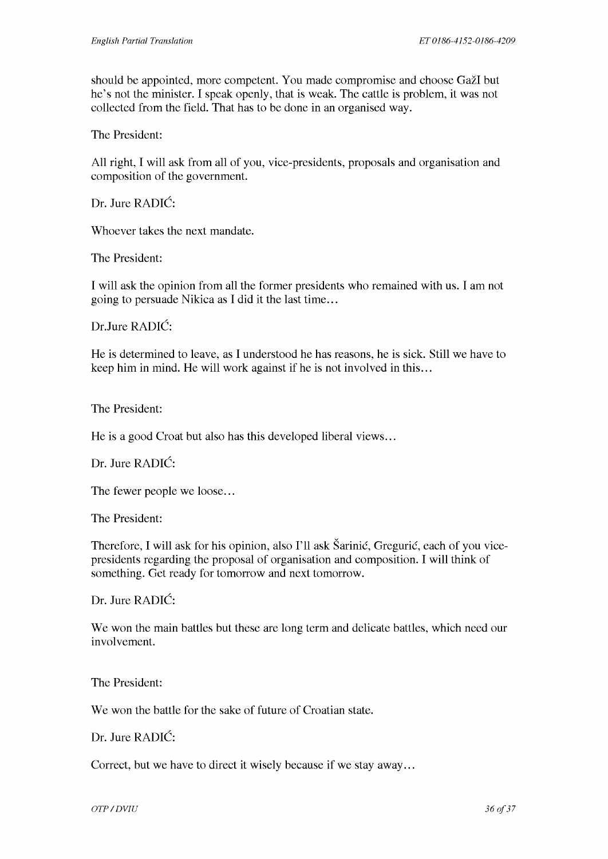should be appointed, more competent. You made compromise and choose Gazl but he's not the minister. I speak openly, that is weak. The cattle is problem, it was not collected from the field. That has to be done in an organised way.

The President:

All right, I will ask from all of you, vice-presidents, proposals and organisation and composition of the government.

Dr. Jure RADIC:

Whoever takes the next mandate.

The President:

I will ask the opinion from all the former presidents who remained with us. I am not going to persuade Nikica as I did it the last time ...

Dr.Jure RADIC:

He is determined to leave, as I understood he has reasons, he is sick. Still we have to keep him in mind. He will work against if he is not involved in this ...

The President:

He is a good Croat but also has this developed liberal views...

Dr. Jure RADIC:

The fewer people we loose...

The President:

Therefore, I will ask for his opinion, also I'll ask Šarinić, Gregurić, each of you vicepresidents regarding the proposal of organisation and composition. I will think of something. Get ready for tomorrow and next tomorrow.

Dr. Jure RADIC:

We won the main battles but these are long term and delicate battles, which need our involvement.

The President:

We won the battle for the sake of future of Croatian state.

Dr. Jure RADIC:

Correct, but we have to direct it wisely because if we stay away ...